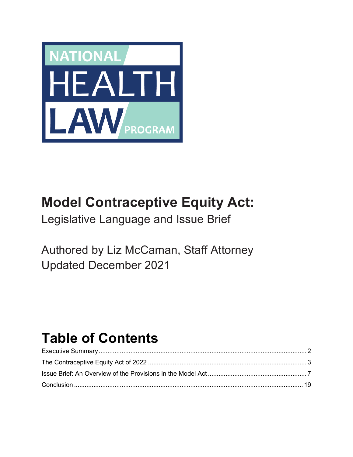

# **Model Contraceptive Equity Act:**

Legislative Language and Issue Brief

Authored by Liz McCaman, Staff Attorney Updated December 2021

# **Table of Contents**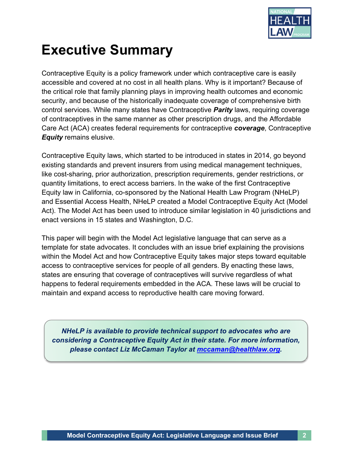

# **Executive Summary**

Contraceptive Equity is a policy framework under which contraceptive care is easily accessible and covered at no cost in all health plans. Why is it important? Because of the critical role that family planning plays in improving health outcomes and economic security, and because of the historically inadequate coverage of comprehensive birth control services. While many states have Contraceptive *Parity* laws, requiring coverage of contraceptives in the same manner as other prescription drugs, and the Affordable Care Act (ACA) creates federal requirements for contraceptive *coverage*, Contraceptive *Equity* remains elusive.

Contraceptive Equity laws, which started to be introduced in states in 2014, go beyond existing standards and prevent insurers from using medical management techniques, like cost-sharing, prior authorization, prescription requirements, gender restrictions, or quantity limitations, to erect access barriers. In the wake of the first Contraceptive Equity law in California, co-sponsored by the National Health Law Program (NHeLP) and Essential Access Health, NHeLP created a Model Contraceptive Equity Act (Model Act). The Model Act has been used to introduce similar legislation in 40 jurisdictions and enact versions in 15 states and Washington, D.C.

This paper will begin with the Model Act legislative language that can serve as a template for state advocates. It concludes with an issue brief explaining the provisions within the Model Act and how Contraceptive Equity takes major steps toward equitable access to contraceptive services for people of all genders. By enacting these laws, states are ensuring that coverage of contraceptives will survive regardless of what happens to federal requirements embedded in the ACA. These laws will be crucial to maintain and expand access to reproductive health care moving forward.

*NHeLP is available to provide technical support to advocates who are considering a Contraceptive Equity Act in their state. For more information, please contact Liz McCaman Taylor at mccaman@healthlaw.org.*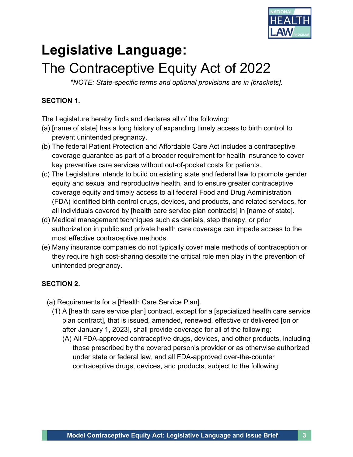

# **Legislative Language:**  The Contraceptive Equity Act of 2022

*\*NOTE: State-specific terms and optional provisions are in [brackets].*

# **SECTION 1.**

The Legislature hereby finds and declares all of the following:

- (a) [name of state] has a long history of expanding timely access to birth control to prevent unintended pregnancy.
- (b) The federal Patient Protection and Affordable Care Act includes a contraceptive coverage guarantee as part of a broader requirement for health insurance to cover key preventive care services without out-of-pocket costs for patients.
- (c) The Legislature intends to build on existing state and federal law to promote gender equity and sexual and reproductive health, and to ensure greater contraceptive coverage equity and timely access to all federal Food and Drug Administration (FDA) identified birth control drugs, devices, and products, and related services, for all individuals covered by [health care service plan contracts] in [name of state].
- (d) Medical management techniques such as denials, step therapy, or prior authorization in public and private health care coverage can impede access to the most effective contraceptive methods.
- (e) Many insurance companies do not typically cover male methods of contraception or they require high cost-sharing despite the critical role men play in the prevention of unintended pregnancy.

### **SECTION 2.**

- (a) Requirements for a [Health Care Service Plan].
	- (1) A [health care service plan] contract, except for a [specialized health care service plan contract], that is issued, amended, renewed, effective or delivered [on or after January 1, 2023], shall provide coverage for all of the following:
		- (A) All FDA-approved contraceptive drugs, devices, and other products, including those prescribed by the covered person's provider or as otherwise authorized under state or federal law, and all FDA-approved over-the-counter contraceptive drugs, devices, and products, subject to the following: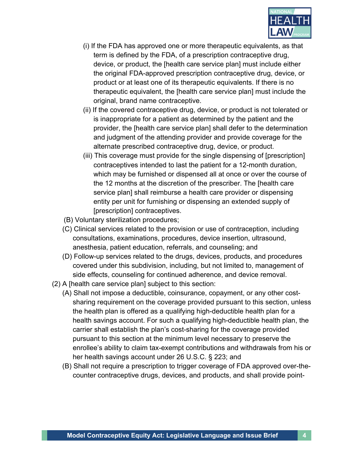

- (i) If the FDA has approved one or more therapeutic equivalents, as that term is defined by the FDA, of a prescription contraceptive drug, device, or product, the [health care service plan] must include either the original FDA-approved prescription contraceptive drug, device, or product or at least one of its therapeutic equivalents. If there is no therapeutic equivalent, the [health care service plan] must include the original, brand name contraceptive.
- (ii) If the covered contraceptive drug, device, or product is not tolerated or is inappropriate for a patient as determined by the patient and the provider, the [health care service plan] shall defer to the determination and judgment of the attending provider and provide coverage for the alternate prescribed contraceptive drug, device, or product.
- (iii) This coverage must provide for the single dispensing of [prescription] contraceptives intended to last the patient for a 12-month duration, which may be furnished or dispensed all at once or over the course of the 12 months at the discretion of the prescriber. The [health care service plan] shall reimburse a health care provider or dispensing entity per unit for furnishing or dispensing an extended supply of [prescription] contraceptives.
- (B) Voluntary sterilization procedures;
- (C) Clinical services related to the provision or use of contraception, including consultations, examinations, procedures, device insertion, ultrasound, anesthesia, patient education, referrals, and counseling; and
- (D) Follow-up services related to the drugs, devices, products, and procedures covered under this subdivision, including, but not limited to, management of side effects, counseling for continued adherence, and device removal.
- (2) A [health care service plan] subject to this section:
	- (A) Shall not impose a deductible, coinsurance, copayment, or any other costsharing requirement on the coverage provided pursuant to this section, unless the health plan is offered as a qualifying high-deductible health plan for a health savings account. For such a qualifying high-deductible health plan, the carrier shall establish the plan's cost-sharing for the coverage provided pursuant to this section at the minimum level necessary to preserve the enrollee's ability to claim tax-exempt contributions and withdrawals from his or her health savings account under 26 U.S.C. § 223; and
	- (B) Shall not require a prescription to trigger coverage of FDA approved over-thecounter contraceptive drugs, devices, and products, and shall provide point-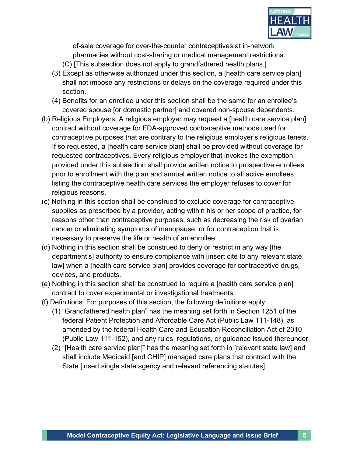

of-sale coverage for over-the-counter contraceptives at in-network pharmacies without cost-sharing or medical management restrictions.

- (C) [This subsection does not apply to grandfathered health plans.]
- (3) Except as otherwise authorized under this section, a [health care service plan] shall not impose any restrictions or delays on the coverage required under this section.
- (4) Benefits for an enrollee under this section shall be the same for an enrollee's covered spouse [or domestic partner] and covered non-spouse dependents.
- (b) Religious Employers. A religious employer may request a [health care service plan] contract without coverage for FDA-approved contraceptive methods used for contraceptive purposes that are contrary to the religious employer's religious tenets. If so requested, a [health care service plan] shall be provided without coverage for requested contraceptives. Every religious employer that invokes the exemption provided under this subsection shall provide written notice to prospective enrollees prior to enrollment with the plan and annual written notice to all active enrollees, listing the contraceptive health care services the employer refuses to cover for religious reasons.
- (c) Nothing in this section shall be construed to exclude coverage for contraceptive supplies as prescribed by a provider, acting within his or her scope of practice, for reasons other than contraceptive purposes, such as decreasing the risk of ovarian cancer or eliminating symptoms of menopause, or for contraception that is necessary to preserve the life or health of an enrollee.
- (d) Nothing in this section shall be construed to deny or restrict in any way [the department's] authority to ensure compliance with [insert cite to any relevant state law] when a [health care service plan] provides coverage for contraceptive drugs, devices, and products.
- (e) Nothing in this section shall be construed to require a [health care service plan] contract to cover experimental or investigational treatments.
- (f) Definitions. For purposes of this section, the following definitions apply:
	- (1) "Grandfathered health plan" has the meaning set forth in Section 1251 of the federal Patient Protection and Affordable Care Act (Public Law 111-148), as amended by the federal Health Care and Education Reconciliation Act of 2010 (Public Law 111-152), and any rules, regulations, or guidance issued thereunder.
	- (2) "[Health care service plan]" has the meaning set forth in [relevant state law] and shall include Medicaid [and CHIP] managed care plans that contract with the State [insert single state agency and relevant referencing statutes].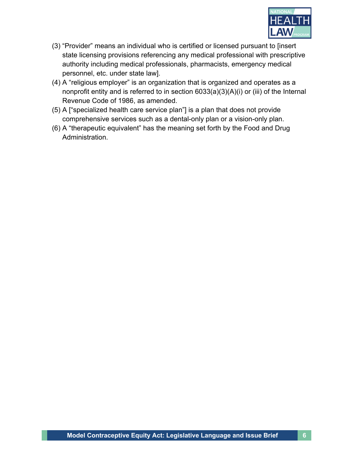

- (3) "Provider" means an individual who is certified or licensed pursuant to [insert state licensing provisions referencing any medical professional with prescriptive authority including medical professionals, pharmacists, emergency medical personnel, etc. under state law].
- (4) A "religious employer" is an organization that is organized and operates as a nonprofit entity and is referred to in section 6033(a)(3)(A)(i) or (iii) of the Internal Revenue Code of 1986, as amended.
- (5) A ["specialized health care service plan"] is a plan that does not provide comprehensive services such as a dental-only plan or a vision-only plan.
- (6) A "therapeutic equivalent" has the meaning set forth by the Food and Drug Administration.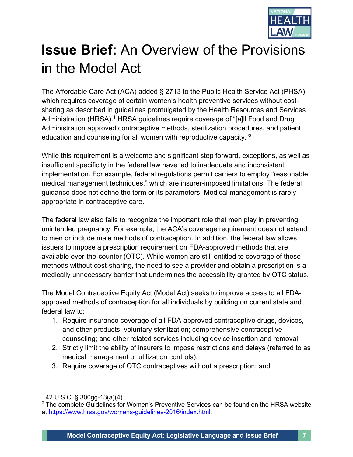

# **Issue Brief:** An Overview of the Provisions in the Model Act

The Affordable Care Act (ACA) added § 2713 to the Public Health Service Act (PHSA), which requires coverage of certain women's health preventive services without costsharing as described in guidelines promulgated by the Health Resources and Services Administration (HRSA).<sup>1</sup> HRSA guidelines require coverage of "[a]ll Food and Drug Administration approved contraceptive methods, sterilization procedures, and patient education and counseling for all women with reproductive capacity."<sup>2</sup>

While this requirement is a welcome and significant step forward, exceptions, as well as insufficient specificity in the federal law have led to inadequate and inconsistent implementation. For example, federal regulations permit carriers to employ "reasonable medical management techniques," which are insurer-imposed limitations. The federal guidance does not define the term or its parameters. Medical management is rarely appropriate in contraceptive care.

The federal law also fails to recognize the important role that men play in preventing unintended pregnancy. For example, the ACA's coverage requirement does not extend to men or include male methods of contraception. In addition, the federal law allows issuers to impose a prescription requirement on FDA-approved methods that are available over-the-counter (OTC). While women are still entitled to coverage of these methods without cost-sharing, the need to see a provider and obtain a prescription is a medically unnecessary barrier that undermines the accessibility granted by OTC status.

The Model Contraceptive Equity Act (Model Act) seeks to improve access to all FDAapproved methods of contraception for all individuals by building on current state and federal law to:

- 1. Require insurance coverage of all FDA-approved contraceptive drugs, devices, and other products; voluntary sterilization; comprehensive contraceptive counseling; and other related services including device insertion and removal;
- 2. Strictly limit the ability of insurers to impose restrictions and delays (referred to as medical management or utilization controls);
- 3. Require coverage of OTC contraceptives without a prescription; and

 $142 \text{ U.S.C. }$ § 300gg-13(a)(4).

<sup>&</sup>lt;sup>2</sup> The complete Guidelines for Women's Preventive Services can be found on the HRSA website at https://www.hrsa.gov/womens-guidelines-2016/index.html.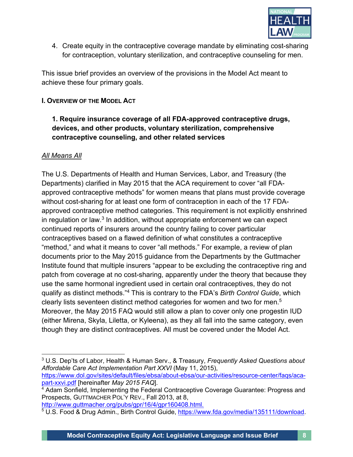

4. Create equity in the contraceptive coverage mandate by eliminating cost-sharing for contraception, voluntary sterilization, and contraceptive counseling for men.

This issue brief provides an overview of the provisions in the Model Act meant to achieve these four primary goals.

#### **I. OVERVIEW OF THE MODEL ACT**

#### **1. Require insurance coverage of all FDA-approved contraceptive drugs, devices, and other products, voluntary sterilization, comprehensive contraceptive counseling, and other related services**

#### *All Means All*

The U.S. Departments of Health and Human Services, Labor, and Treasury (the Departments) clarified in May 2015 that the ACA requirement to cover "all FDAapproved contraceptive methods" for women means that plans must provide coverage without cost-sharing for at least one form of contraception in each of the 17 FDAapproved contraceptive method categories. This requirement is not explicitly enshrined in regulation or law. $3$  In addition, without appropriate enforcement we can expect continued reports of insurers around the country failing to cover particular contraceptives based on a flawed definition of what constitutes a contraceptive "method," and what it means to cover "all methods." For example, a review of plan documents prior to the May 2015 guidance from the Departments by the Guttmacher Institute found that multiple insurers "appear to be excluding the contraceptive ring and patch from coverage at no cost-sharing, apparently under the theory that because they use the same hormonal ingredient used in certain oral contraceptives, they do not qualify as distinct methods."4 This is contrary to the FDA's *Birth Control Guide*, which clearly lists seventeen distinct method categories for women and two for men.5 Moreover, the May 2015 FAQ would still allow a plan to cover only one progestin IUD (either Mirena, Skyla, Liletta, or Kyleena), as they all fall into the same category, even though they are distinct contraceptives. All must be covered under the Model Act.

<sup>3</sup> U.S. Dep'ts of Labor, Health & Human Serv., & Treasury, *Frequently Asked Questions about Affordable Care Act Implementation Part XXVI* (May 11, 2015), https://www.dol.gov/sites/default/files/ebsa/about-ebsa/our-activities/resource-center/faqs/aca-

part-xxvi.pdf [hereinafter *May 2015 FAQ*].

<sup>&</sup>lt;sup>4</sup> Adam Sonfield, Implementing the Federal Contraceptive Coverage Guarantee: Progress and Prospects, GUTTMACHER POL'Y REV., Fall 2013, at 8, http://www.guttmacher.org/pubs/gpr/16/4/gpr160408.html.

<sup>5</sup> U.S. Food & Drug Admin., Birth Control Guide, https://www.fda.gov/media/135111/download.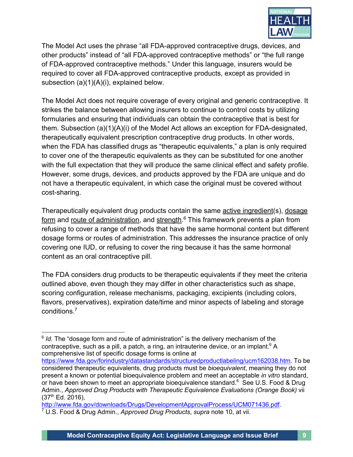

The Model Act uses the phrase "all FDA-approved contraceptive drugs, devices, and other products" instead of "all FDA-approved contraceptive methods" or "the full range of FDA-approved contraceptive methods." Under this language, insurers would be required to cover all FDA-approved contraceptive products, except as provided in subsection (a)(1)(A)(i), explained below.

The Model Act does not require coverage of every original and generic contraceptive. It strikes the balance between allowing insurers to continue to control costs by utilizing formularies and ensuring that individuals can obtain the contraceptive that is best for them. Subsection (a)(1)(A)(i) of the Model Act allows an exception for FDA-designated, therapeutically equivalent prescription contraceptive drug products. In other words, when the FDA has classified drugs as "therapeutic equivalents," a plan is only required to cover one of the therapeutic equivalents as they can be substituted for one another with the full expectation that they will produce the same clinical effect and safety profile. However, some drugs, devices, and products approved by the FDA are unique and do not have a therapeutic equivalent, in which case the original must be covered without cost-sharing.

Therapeutically equivalent drug products contain the same active ingredient(s), dosage form and route of administration, and strength.<sup>6</sup> This framework prevents a plan from refusing to cover a range of methods that have the same hormonal content but different dosage forms or routes of administration. This addresses the insurance practice of only covering one IUD, or refusing to cover the ring because it has the same hormonal content as an oral contraceptive pill.

The FDA considers drug products to be therapeutic equivalents if they meet the criteria outlined above, even though they may differ in other characteristics such as shape, scoring configuration, release mechanisms, packaging, excipients (including colors, flavors, preservatives), expiration date/time and minor aspects of labeling and storage conditions.7

<sup>&</sup>lt;sup>6</sup> *Id.* The "dosage form and route of administration" is the delivery mechanism of the contraceptive, such as a pill, a patch, a ring, an intrauterine device, or an implant.<sup>6</sup> A comprehensive list of specific dosage forms is online at

https://www.fda.gov/forindustry/datastandards/structuredproductlabeling/ucm162038.htm. To be considered therapeutic equivalents, drug products must be *bioequivalent*, meaning they do not present a known or potential bioequivalence problem and meet an acceptable *in vitro* standard, or have been shown to meet an appropriate bioequivalence standard.<sup>6</sup> See U.S. Food & Drug Admin., *Approved Drug Products with Therapeutic Equivalence Evaluations (Orange Book)* vii  $(37<sup>th</sup>$  Ed. 2016),

http://www.fda.gov/downloads/Drugs/DevelopmentApprovalProcess/UCM071436.pdf. <sup>7</sup> U.S. Food & Drug Admin., *Approved Drug Products*, *supra* note 10, at vii.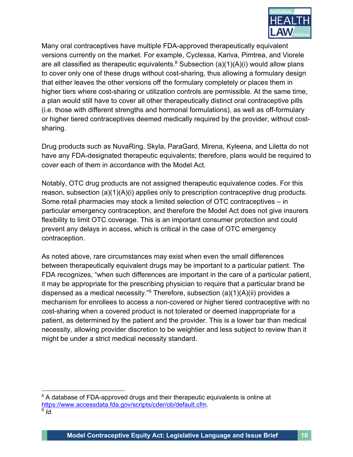

Many oral contraceptives have multiple FDA-approved therapeutically equivalent versions currently on the market. For example, Cyclessa, Kariva, Pimtrea, and Viorele are all classified as therapeutic equivalents.<sup>8</sup> Subsection (a)(1)(A)(i) would allow plans to cover only one of these drugs without cost-sharing, thus allowing a formulary design that either leaves the other versions off the formulary completely or places them in higher tiers where cost-sharing or utilization controls are permissible. At the same time, a plan would still have to cover all other therapeutically distinct oral contraceptive pills (i.e. those with different strengths and hormonal formulations), as well as off-formulary or higher tiered contraceptives deemed medically required by the provider, without costsharing.

Drug products such as NuvaRing, Skyla, ParaGard, Mirena, Kyleena, and Liletta do not have any FDA-designated therapeutic equivalents; therefore, plans would be required to cover each of them in accordance with the Model Act.

Notably, OTC drug products are not assigned therapeutic equivalence codes. For this reason, subsection (a)(1)(A)(i) applies only to prescription contraceptive drug products. Some retail pharmacies may stock a limited selection of OTC contraceptives – in particular emergency contraception, and therefore the Model Act does not give insurers flexibility to limit OTC coverage. This is an important consumer protection and could prevent any delays in access, which is critical in the case of OTC emergency contraception.

As noted above, rare circumstances may exist when even the small differences between therapeutically equivalent drugs may be important to a particular patient. The FDA recognizes, "when such differences are important in the care of a particular patient, it may be appropriate for the prescribing physician to require that a particular brand be dispensed as a medical necessity."<sup>9</sup> Therefore, subsection  $(a)(1)(A)(ii)$  provides a mechanism for enrollees to access a non-covered or higher tiered contraceptive with no cost-sharing when a covered product is not tolerated or deemed inappropriate for a patient, as determined by the patient and the provider. This is a lower bar than medical necessity, allowing provider discretion to be weightier and less subject to review than it might be under a strict medical necessity standard.

<sup>&</sup>lt;sup>8</sup> A database of FDA-approved drugs and their therapeutic equivalents is online at https://www.accessdata.fda.gov/scripts/cder/ob/default.cfm. 9 *Id.*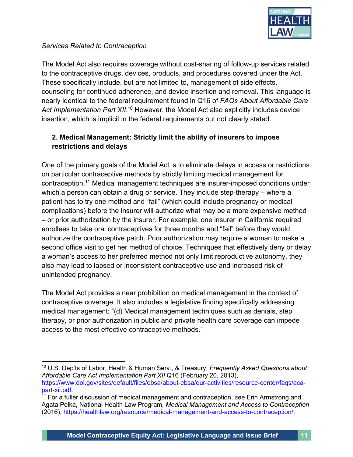

#### *Services Related to Contraception*

The Model Act also requires coverage without cost-sharing of follow-up services related to the contraceptive drugs, devices, products, and procedures covered under the Act. These specifically include, but are not limited to, management of side effects, counseling for continued adherence, and device insertion and removal. This language is nearly identical to the federal requirement found in Q16 of *FAQs About Affordable Care*  Act Implementation Part XII.<sup>10</sup> However, the Model Act also explicitly includes device insertion, which is implicit in the federal requirements but not clearly stated.

## **2. Medical Management: Strictly limit the ability of insurers to impose restrictions and delays**

One of the primary goals of the Model Act is to eliminate delays in access or restrictions on particular contraceptive methods by strictly limiting medical management for contraception.11 Medical management techniques are insurer-imposed conditions under which a person can obtain a drug or service. They include step-therapy – where a patient has to try one method and "fail" (which could include pregnancy or medical complications) before the insurer will authorize what may be a more expensive method – or prior authorization by the insurer. For example, one insurer in California required enrollees to take oral contraceptives for three months and "fail" before they would authorize the contraceptive patch. Prior authorization may require a woman to make a second office visit to get her method of choice. Techniques that effectively deny or delay a woman's access to her preferred method not only limit reproductive autonomy, they also may lead to lapsed or inconsistent contraceptive use and increased risk of unintended pregnancy.

The Model Act provides a near prohibition on medical management in the context of contraceptive coverage. It also includes a legislative finding specifically addressing medical management: "(d) Medical management techniques such as denials, step therapy, or prior authorization in public and private health care coverage can impede access to the most effective contraceptive methods."

<sup>10</sup> U.S. Dep'ts of Labor, Health & Human Serv., & Treasury, *Frequently Asked Questions about Affordable Care Act Implementation Part XII* Q16 (February 20, 2013), https://www.dol.gov/sites/default/files/ebsa/about-ebsa/our-activities/resource-center/faqs/acapart-xii.pdf.<br><sup>11</sup> For a fuller discussion of medical management and contraception, *see* Erin Armstrong and

Agata Pelka, National Health Law Program, *Medical Management and Access to Contraception* (2016), https://healthlaw.org/resource/medical-management-and-access-to-contraception/.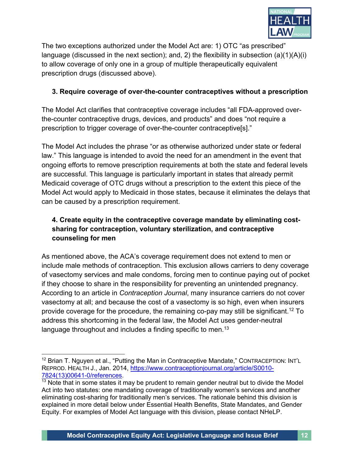

The two exceptions authorized under the Model Act are: 1) OTC "as prescribed" language (discussed in the next section); and, 2) the flexibility in subsection (a)(1)(A)(i) to allow coverage of only one in a group of multiple therapeutically equivalent prescription drugs (discussed above).

#### **3. Require coverage of over-the-counter contraceptives without a prescription**

The Model Act clarifies that contraceptive coverage includes "all FDA-approved overthe-counter contraceptive drugs, devices, and products" and does "not require a prescription to trigger coverage of over-the-counter contraceptive[s]."

The Model Act includes the phrase "or as otherwise authorized under state or federal law." This language is intended to avoid the need for an amendment in the event that ongoing efforts to remove prescription requirements at both the state and federal levels are successful. This language is particularly important in states that already permit Medicaid coverage of OTC drugs without a prescription to the extent this piece of the Model Act would apply to Medicaid in those states, because it eliminates the delays that can be caused by a prescription requirement.

# **4. Create equity in the contraceptive coverage mandate by eliminating costsharing for contraception, voluntary sterilization, and contraceptive counseling for men**

As mentioned above, the ACA's coverage requirement does not extend to men or include male methods of contraception. This exclusion allows carriers to deny coverage of vasectomy services and male condoms, forcing men to continue paying out of pocket if they choose to share in the responsibility for preventing an unintended pregnancy. According to an article in *Contraception Journal*, many insurance carriers do not cover vasectomy at all; and because the cost of a vasectomy is so high, even when insurers provide coverage for the procedure, the remaining co-pay may still be significant.12 To address this shortcoming in the federal law, the Model Act uses gender-neutral language throughout and includes a finding specific to men.<sup>13</sup>

 $12$  Brian T. Nguyen et al., "Putting the Man in Contraceptive Mandate," CONTRACEPTION: INT'L REPROD. HEALTH J., Jan. 2014, https://www.contraceptionjournal.org/article/S0010- 7824(13)00641-0/references.<br><sup>13</sup> Note that in some states it may be prudent to remain gender neutral but to divide the Model

Act into two statutes: one mandating coverage of traditionally women's services and another eliminating cost-sharing for traditionally men's services. The rationale behind this division is explained in more detail below under Essential Health Benefits, State Mandates, and Gender Equity. For examples of Model Act language with this division, please contact NHeLP.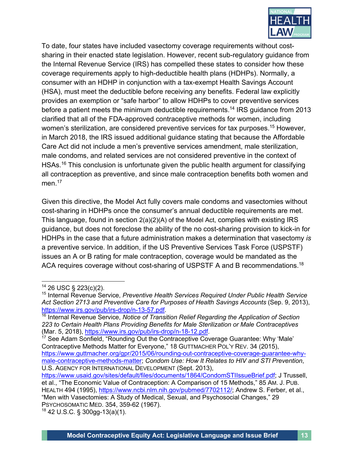

To date, four states have included vasectomy coverage requirements without costsharing in their enacted state legislation. However, recent sub-regulatory guidance from the Internal Revenue Service (IRS) has compelled these states to consider how these coverage requirements apply to high-deductible health plans (HDHPs). Normally, a consumer with an HDHP in conjunction with a tax-exempt Health Savings Account (HSA), must meet the deductible before receiving any benefits. Federal law explicitly provides an exemption or "safe harbor" to allow HDHPs to cover preventive services before a patient meets the minimum deductible requirements.<sup>14</sup> IRS guidance from 2013 clarified that all of the FDA-approved contraceptive methods for women, including women's sterilization, are considered preventive services for tax purposes.<sup>15</sup> However, in March 2018, the IRS issued additional guidance stating that because the Affordable Care Act did not include a men's preventive services amendment, male sterilization, male condoms, and related services are not considered preventive in the context of HSAs.<sup>16</sup> This conclusion is unfortunate given the public health argument for classifying all contraception as preventive, and since male contraception benefits both women and men. 17

Given this directive, the Model Act fully covers male condoms and vasectomies without cost-sharing in HDHPs once the consumer's annual deductible requirements are met. This language, found in section 2(a)(2)(A) of the Model Act, complies with existing IRS guidance, but does not foreclose the ability of the no cost-sharing provision to kick-in for HDHPs in the case that a future administration makes a determination that vasectomy *is* a preventive service. In addition, if the US Preventive Services Task Force (USPSTF) issues an A or B rating for male contraception, coverage would be mandated as the ACA requires coverage without cost-sharing of USPSTF A and B recommendations.<sup>18</sup>

<sup>14</sup> 26 USC § 223(c)(2).

<sup>15</sup> Internal Revenue Service, *Preventive Health Services Required Under Public Health Service*  Act Section 2713 and Preventive Care for Purposes of Health Savings Accounts (Sep. 9, 2013), https://www.irs.gov/pub/irs-drop/n-13-57.pdf.

<sup>&</sup>lt;sup>16</sup> Internal Revenue Service, Notice of Transition Relief Regarding the Application of Section *223 to Certain Health Plans Providing Benefits for Male Sterilization or Male Contraceptives* (Mar. 5, 2018), https://www.irs.gov/pub/irs-drop/n-18-12.pdf.

 $17$  See Adam Sonfield, "Rounding Out the Contraceptive Coverage Guarantee: Why 'Male' Contraceptive Methods Matter for Everyone," 18 GUTTMACHER POL'Y REV. 34 (2015), https://www.guttmacher.org/gpr/2015/06/rounding-out-contraceptive-coverage-guarantee-whymale-contraceptive-methods-matter; *Condom Use: How It Relates to HIV and STI Prevention*, U.S. AGENCY FOR INTERNATIONAL DEVELOPMENT (Sept. 2013),

https://www.usaid.gov/sites/default/files/documents/1864/CondomSTIIssueBrief.pdf; J Trussell, et al., "The Economic Value of Contraception: A Comparison of 15 Methods," 85 AM. J. PUB. HEALTH 494 (1995), https://www.ncbi.nlm.nih.gov/pubmed/7702112/; Andrew S. Ferber, et al., "Men with Vasectomies: A Study of Medical, Sexual, and Psychosocial Changes," 29

PSYCHOSOMATIC MED. 354, 359-62 (1967). 18 42 U.S.C. § 300gg-13(a)(1).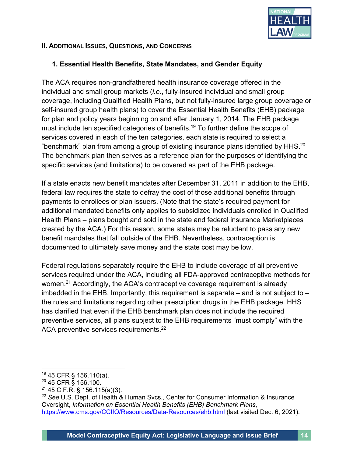

#### **II. ADDITIONAL ISSUES, QUESTIONS, AND CONCERNS**

#### **1. Essential Health Benefits, State Mandates, and Gender Equity**

The ACA requires non-grandfathered health insurance coverage offered in the individual and small group markets (*i.e.*, fully-insured individual and small group coverage, including Qualified Health Plans, but not fully-insured large group coverage or self-insured group health plans) to cover the Essential Health Benefits (EHB) package for plan and policy years beginning on and after January 1, 2014. The EHB package must include ten specified categories of benefits.<sup>19</sup> To further define the scope of services covered in each of the ten categories, each state is required to select a "benchmark" plan from among a group of existing insurance plans identified by HHS.<sup>20</sup> The benchmark plan then serves as a reference plan for the purposes of identifying the specific services (and limitations) to be covered as part of the EHB package.

If a state enacts new benefit mandates after December 31, 2011 in addition to the EHB, federal law requires the state to defray the cost of those additional benefits through payments to enrollees or plan issuers. (Note that the state's required payment for additional mandated benefits only applies to subsidized individuals enrolled in Qualified Health Plans – plans bought and sold in the state and federal insurance Marketplaces created by the ACA.) For this reason, some states may be reluctant to pass any new benefit mandates that fall outside of the EHB. Nevertheless, contraception is documented to ultimately save money and the state cost may be low.

Federal regulations separately require the EHB to include coverage of all preventive services required under the ACA, including all FDA-approved contraceptive methods for women.<sup>21</sup> Accordingly, the ACA's contraceptive coverage requirement is already imbedded in the EHB. Importantly, this requirement is separate – and is not subject to – the rules and limitations regarding other prescription drugs in the EHB package. HHS has clarified that even if the EHB benchmark plan does not include the required preventive services, all plans subject to the EHB requirements "must comply" with the ACA preventive services requirements.<sup>22</sup>

<sup>19</sup> 45 CFR § 156.110(a).

<sup>20</sup> 45 CFR § 156.100.

 $21$  45 C.F.R. § 156.115(a)(3).

<sup>22</sup> *See* U.S. Dept. of Health & Human Svcs., Center for Consumer Information & Insurance Oversight, *Information on Essential Health Benefits (EHB) Benchmark Plans*, https://www.cms.gov/CCIIO/Resources/Data-Resources/ehb.html (last visited Dec. 6, 2021).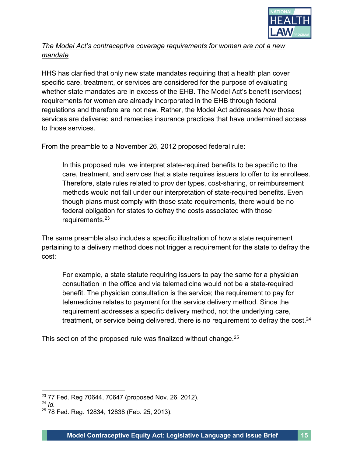

### *The Model Act's contraceptive coverage requirements for women are not a new mandate*

HHS has clarified that only new state mandates requiring that a health plan cover specific care, treatment, or services are considered for the purpose of evaluating whether state mandates are in excess of the EHB. The Model Act's benefit (services) requirements for women are already incorporated in the EHB through federal regulations and therefore are not new. Rather, the Model Act addresses *how* those services are delivered and remedies insurance practices that have undermined access to those services.

From the preamble to a November 26, 2012 proposed federal rule:

In this proposed rule, we interpret state-required benefits to be specific to the care, treatment, and services that a state requires issuers to offer to its enrollees. Therefore, state rules related to provider types, cost-sharing, or reimbursement methods would not fall under our interpretation of state-required benefits. Even though plans must comply with those state requirements, there would be no federal obligation for states to defray the costs associated with those requirements.<sup>23</sup>

The same preamble also includes a specific illustration of how a state requirement pertaining to a delivery method does not trigger a requirement for the state to defray the cost:

For example, a state statute requiring issuers to pay the same for a physician consultation in the office and via telemedicine would not be a state-required benefit. The physician consultation is the service; the requirement to pay for telemedicine relates to payment for the service delivery method. Since the requirement addresses a specific delivery method, not the underlying care, treatment, or service being delivered, there is no requirement to defray the cost. $24$ 

This section of the proposed rule was finalized without change.<sup>25</sup>

<sup>23</sup> 77 Fed. Reg 70644, 70647 (proposed Nov. 26, 2012).

<sup>24</sup> *Id.*

<sup>25</sup> 78 Fed. Reg. 12834, 12838 (Feb. 25, 2013).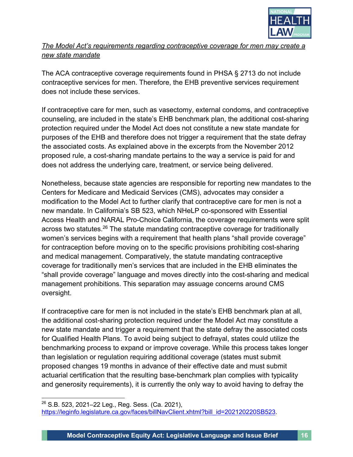

*The Model Act's requirements regarding contraceptive coverage for men may create a new state mandate*

The ACA contraceptive coverage requirements found in PHSA § 2713 do not include contraceptive services for men. Therefore, the EHB preventive services requirement does not include these services.

If contraceptive care for men, such as vasectomy, external condoms, and contraceptive counseling, are included in the state's EHB benchmark plan, the additional cost-sharing protection required under the Model Act does not constitute a new state mandate for purposes of the EHB and therefore does not trigger a requirement that the state defray the associated costs. As explained above in the excerpts from the November 2012 proposed rule, a cost-sharing mandate pertains to the way a service is paid for and does not address the underlying care, treatment, or service being delivered.

Nonetheless, because state agencies are responsible for reporting new mandates to the Centers for Medicare and Medicaid Services (CMS), advocates may consider a modification to the Model Act to further clarify that contraceptive care for men is not a new mandate. In California's SB 523, which NHeLP co-sponsored with Essential Access Health and NARAL Pro-Choice California, the coverage requirements were split across two statutes.<sup>26</sup> The statute mandating contraceptive coverage for traditionally women's services begins with a requirement that health plans "shall provide coverage" for contraception before moving on to the specific provisions prohibiting cost-sharing and medical management. Comparatively, the statute mandating contraceptive coverage for traditionally men's services that are included in the EHB eliminates the "shall provide coverage" language and moves directly into the cost-sharing and medical management prohibitions. This separation may assuage concerns around CMS oversight.

If contraceptive care for men is not included in the state's EHB benchmark plan at all, the additional cost-sharing protection required under the Model Act may constitute a new state mandate and trigger a requirement that the state defray the associated costs for Qualified Health Plans. To avoid being subject to defrayal, states could utilize the benchmarking process to expand or improve coverage. While this process takes longer than legislation or regulation requiring additional coverage (states must submit proposed changes 19 months in advance of their effective date and must submit actuarial certification that the resulting base-benchmark plan complies with typicality and generosity requirements), it is currently the only way to avoid having to defray the

 $26$  S.B. 523, 2021–22 Leg., Reg. Sess. (Ca. 2021), https://leginfo.legislature.ca.gov/faces/billNavClient.xhtml?bill\_id=202120220SB523.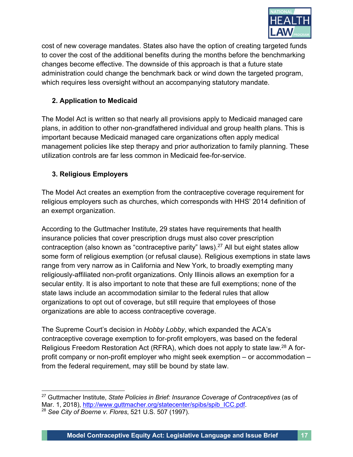

cost of new coverage mandates. States also have the option of creating targeted funds to cover the cost of the additional benefits during the months before the benchmarking changes become effective. The downside of this approach is that a future state administration could change the benchmark back or wind down the targeted program, which requires less oversight without an accompanying statutory mandate.

### **2. Application to Medicaid**

The Model Act is written so that nearly all provisions apply to Medicaid managed care plans, in addition to other non-grandfathered individual and group health plans. This is important because Medicaid managed care organizations often apply medical management policies like step therapy and prior authorization to family planning. These utilization controls are far less common in Medicaid fee-for-service.

### **3. Religious Employers**

The Model Act creates an exemption from the contraceptive coverage requirement for religious employers such as churches, which corresponds with HHS' 2014 definition of an exempt organization.

According to the Guttmacher Institute, 29 states have requirements that health insurance policies that cover prescription drugs must also cover prescription contraception (also known as "contraceptive parity" laws). <sup>27</sup> All but eight states allow some form of religious exemption (or refusal clause). Religious exemptions in state laws range from very narrow as in California and New York, to broadly exempting many religiously-affiliated non-profit organizations. Only Illinois allows an exemption for a secular entity. It is also important to note that these are full exemptions; none of the state laws include an accommodation similar to the federal rules that allow organizations to opt out of coverage, but still require that employees of those organizations are able to access contraceptive coverage.

The Supreme Court's decision in *Hobby Lobby*, which expanded the ACA's contraceptive coverage exemption to for-profit employers, was based on the federal Religious Freedom Restoration Act (RFRA), which does not apply to state law.28 A forprofit company or non-profit employer who might seek exemption – or accommodation – from the federal requirement, may still be bound by state law.

<sup>27</sup> Guttmacher Institute, *State Policies in Brief: Insurance Coverage of Contraceptives* (as of Mar. 1, 2018), http://www.guttmacher.org/statecenter/spibs/spib\_ICC.pdf. 28 *See City of Boerne v. Flores*, 521 U.S. 507 (1997).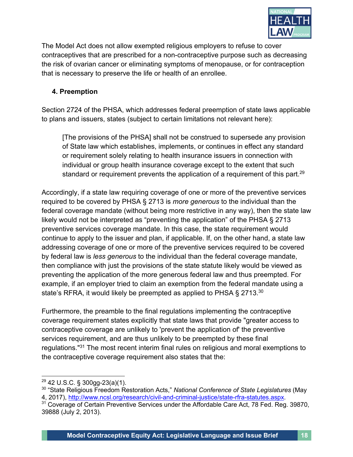

The Model Act does not allow exempted religious employers to refuse to cover contraceptives that are prescribed for a non-contraceptive purpose such as decreasing the risk of ovarian cancer or eliminating symptoms of menopause, or for contraception that is necessary to preserve the life or health of an enrollee.

#### **4. Preemption**

Section 2724 of the PHSA, which addresses federal preemption of state laws applicable to plans and issuers, states (subject to certain limitations not relevant here):

[The provisions of the PHSA] shall not be construed to supersede any provision of State law which establishes, implements, or continues in effect any standard or requirement solely relating to health insurance issuers in connection with individual or group health insurance coverage except to the extent that such standard or requirement prevents the application of a requirement of this part.<sup>29</sup>

Accordingly, if a state law requiring coverage of one or more of the preventive services required to be covered by PHSA § 2713 is *more generous* to the individual than the federal coverage mandate (without being more restrictive in any way), then the state law likely would not be interpreted as "preventing the application" of the PHSA § 2713 preventive services coverage mandate. In this case, the state requirement would continue to apply to the issuer and plan, if applicable. If, on the other hand, a state law addressing coverage of one or more of the preventive services required to be covered by federal law is *less generous* to the individual than the federal coverage mandate, then compliance with just the provisions of the state statute likely would be viewed as preventing the application of the more generous federal law and thus preempted. For example, if an employer tried to claim an exemption from the federal mandate using a state's RFRA, it would likely be preempted as applied to PHSA § 2713.<sup>30</sup>

Furthermore, the preamble to the final regulations implementing the contraceptive coverage requirement states explicitly that state laws that provide "greater access to contraceptive coverage are unlikely to 'prevent the application of' the preventive services requirement, and are thus unlikely to be preempted by these final regulations."31 The most recent interim final rules on religious and moral exemptions to the contraceptive coverage requirement also states that the:

<sup>29</sup> 42 U.S.C. § 300gg-23(a)(1).

<sup>30</sup> "State Religious Freedom Restoration Acts," *National Conference of State Legislatures* (May 4, 2017), http://www.ncsl.org/research/civil-and-criminal-justice/state-rfra-statutes.aspx.

<sup>&</sup>lt;sup>31</sup> Coverage of Certain Preventive Services under the Affordable Care Act, 78 Fed. Reg. 39870, 39888 (July 2, 2013).